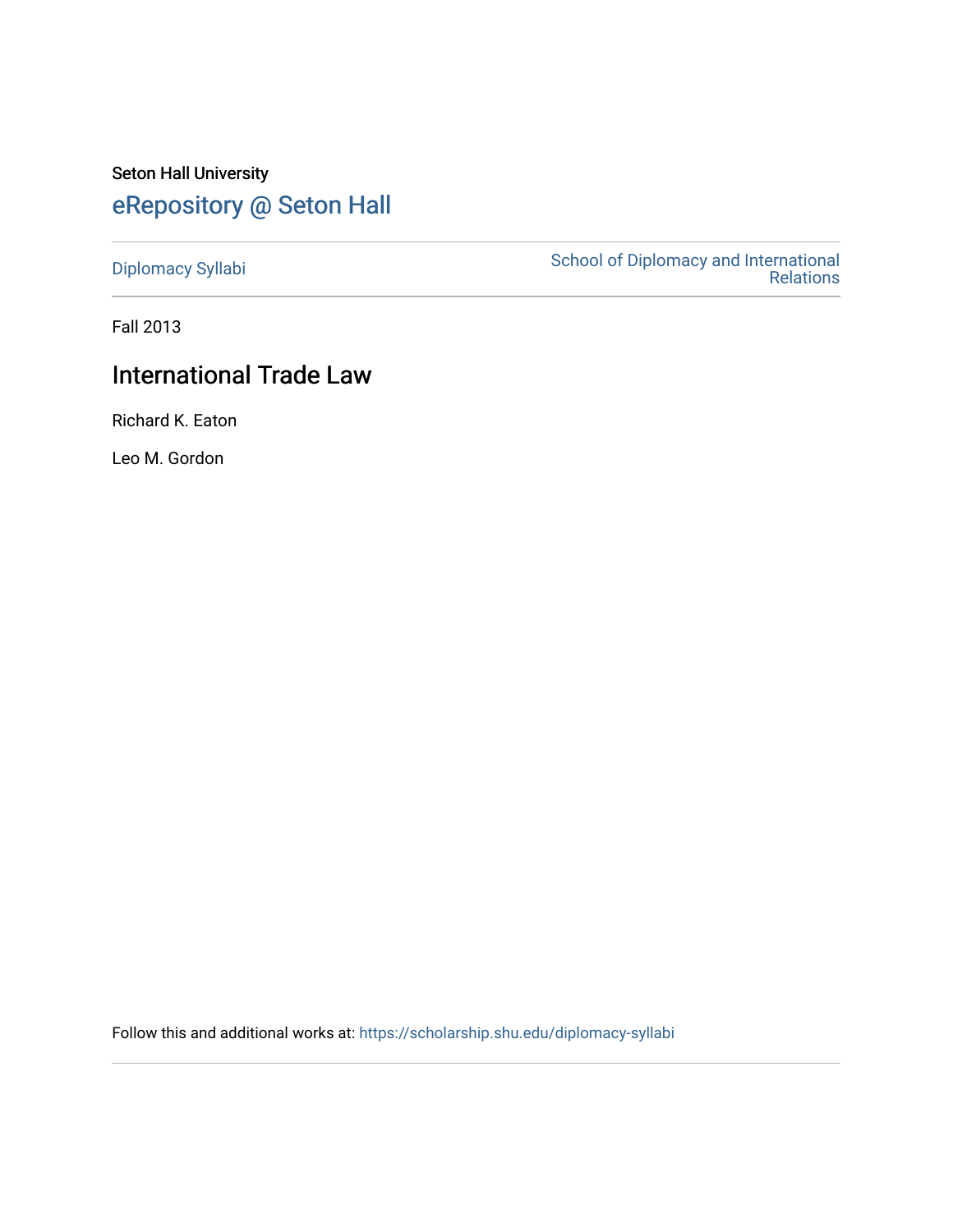# Seton Hall University [eRepository @ Seton Hall](https://scholarship.shu.edu/)

[Diplomacy Syllabi](https://scholarship.shu.edu/diplomacy-syllabi) [School of Diplomacy and International](https://scholarship.shu.edu/diplomacy)  [Relations](https://scholarship.shu.edu/diplomacy) 

Fall 2013

# International Trade Law

Richard K. Eaton

Leo M. Gordon

Follow this and additional works at: [https://scholarship.shu.edu/diplomacy-syllabi](https://scholarship.shu.edu/diplomacy-syllabi?utm_source=scholarship.shu.edu%2Fdiplomacy-syllabi%2F618&utm_medium=PDF&utm_campaign=PDFCoverPages)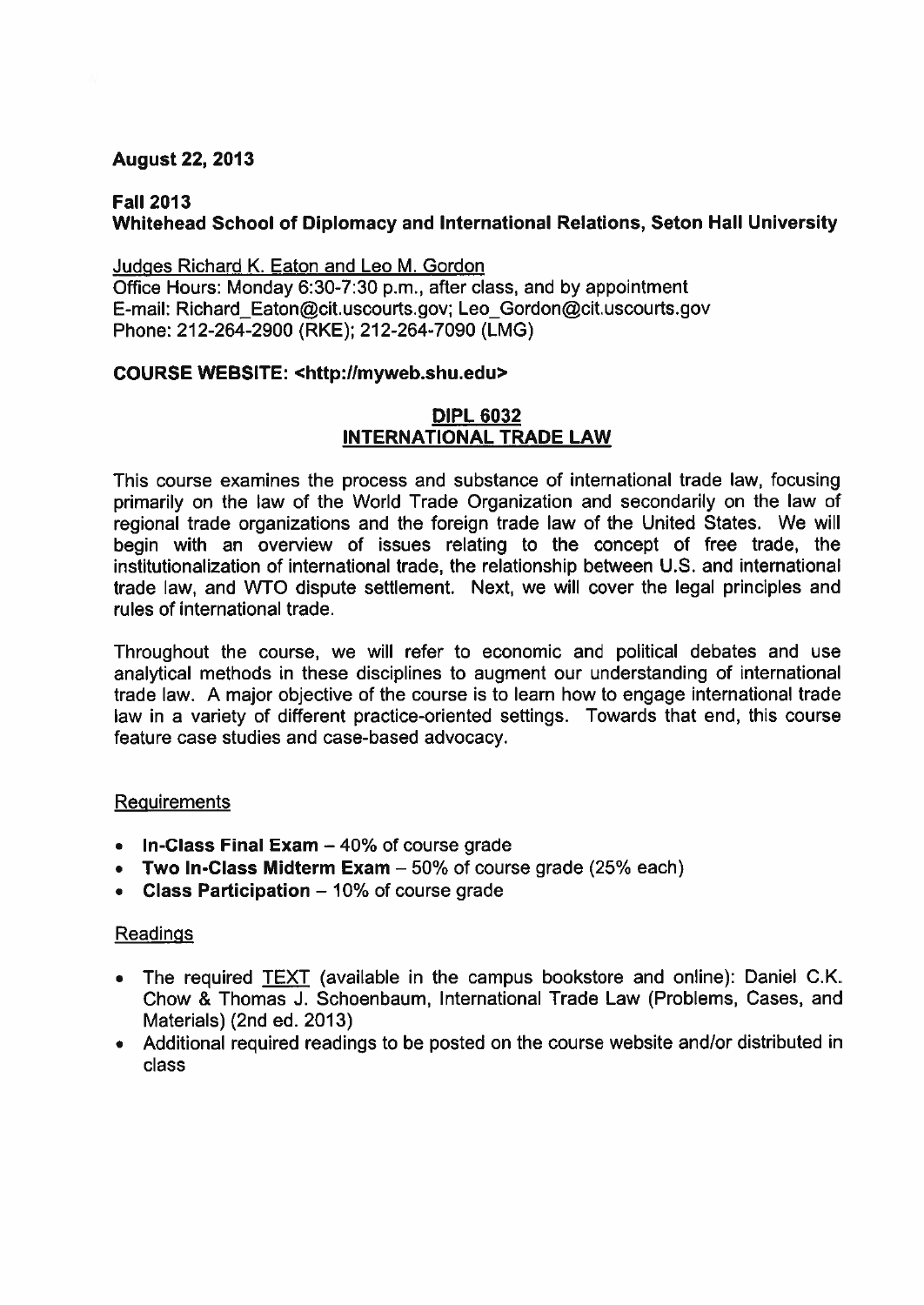# **August 22, 2013**

# **Fall 2013 Whitehead School of Diplomacy and International Relations, Seton Hall University**

Judges Richard K. Eaton and Leo M. Gordon Office Hours: Monday 6:30-7:30 p.m., after class, and by appointment E-mail: Richard\_Eaton@cit.uscourts.gov; Leo\_Gordon@cit.uscourts.gov Phone: 212-264-2900 (RKE); 212-264-7090 (LMG)

#### **COURSE WEBSITE: <http://myweb.shu.edu>**

#### **DIPL 6032 INTERNATIONAL TRADE LAW**

This course examines the process and substance of international trade law, focusing primarily on the law of the World Trade Organization and secondarily on the law of regional trade organizations and the foreign trade law of the United States. We will begin with an overview of issues relating to the concept of free trade, the institutionalization of international trade, the relationship between U.S. and international trade law, and WTO dispute settlement. Next, we will cover the legal principles and rules of international trade.

Throughout the course, we will refer to economic and political debates and use analytical methods in these disciplines to augment our understanding of international trade law. A major objective of the course is to learn how to engage international trade law in <sup>a</sup> variety of different practice-oriented settings. Towards that end, this course feature case studies and case-based advocacy.

#### **Requirements**

- **• In-Class Final Exam** 40% of course grade
- **• Two In-Class Midterm Exam** 50% of course grade (25% each)
- **• Class Participation** -10% of course grade

#### **Readings**

- The required **TEXT** (available in the campus bookstore and online): Daniel C.K. Chow & Thomas J. Schoenbaum, International Trade Law (Problems, Cases, and Materials) (2nd ed. 2013)
- Additional required readings to be posted on the course website and/or distributed in class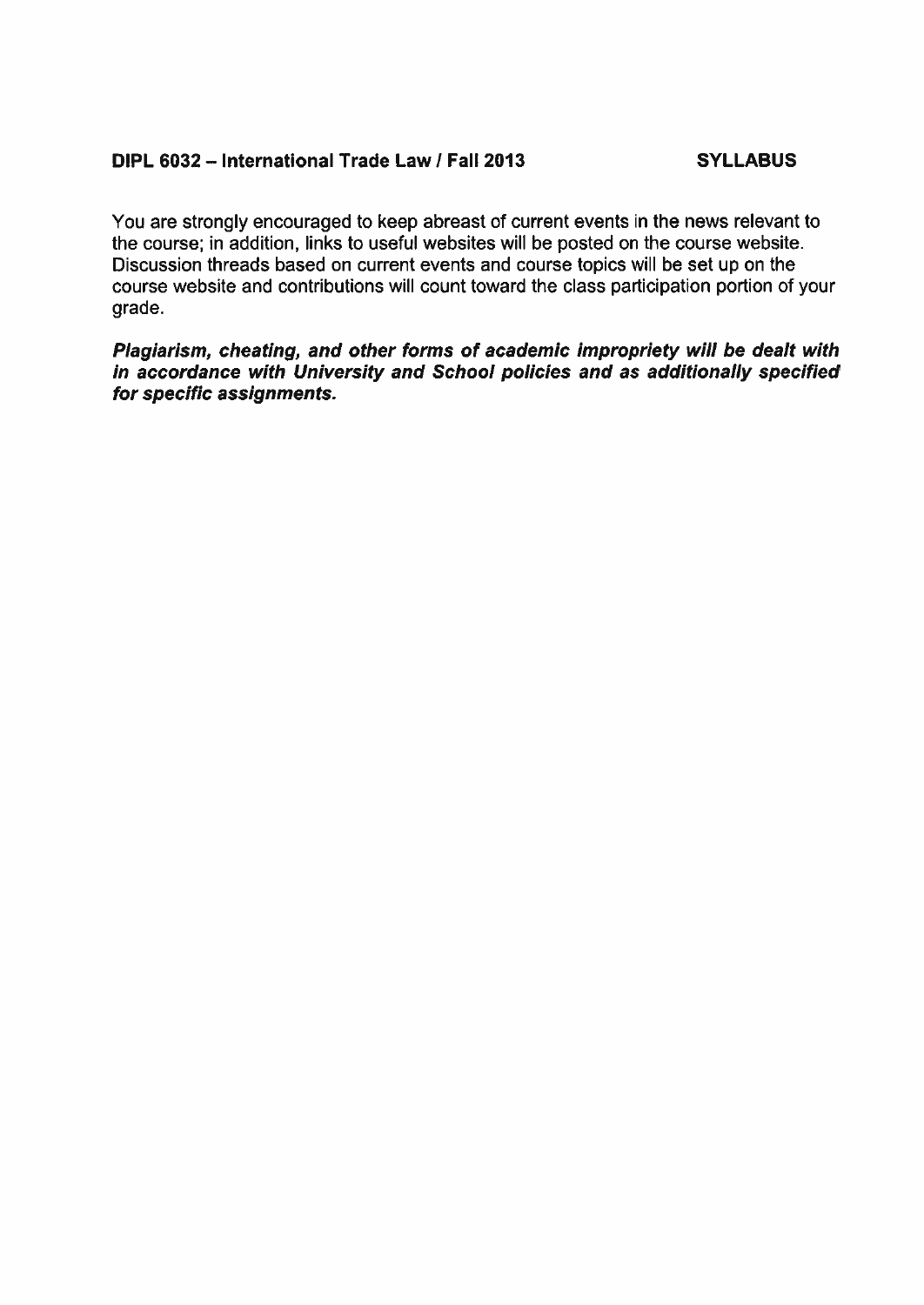# **DIPL 6032 -International Trade Law / Fall 2013 SYLLABUS**

You are strongly encouraged to keep abreast of current events in the news relevant to the course; in addition, links to useful websites will be posted on the course website. Discussion threads based on current events and course topics will be set up on the course website and contributions will count toward the class participation portion of your grade.

*Plagiarism, cheating, and other forms of academic impropriety will be dealt with in accordance with University and School policies and as additionally specified for specific assignments.*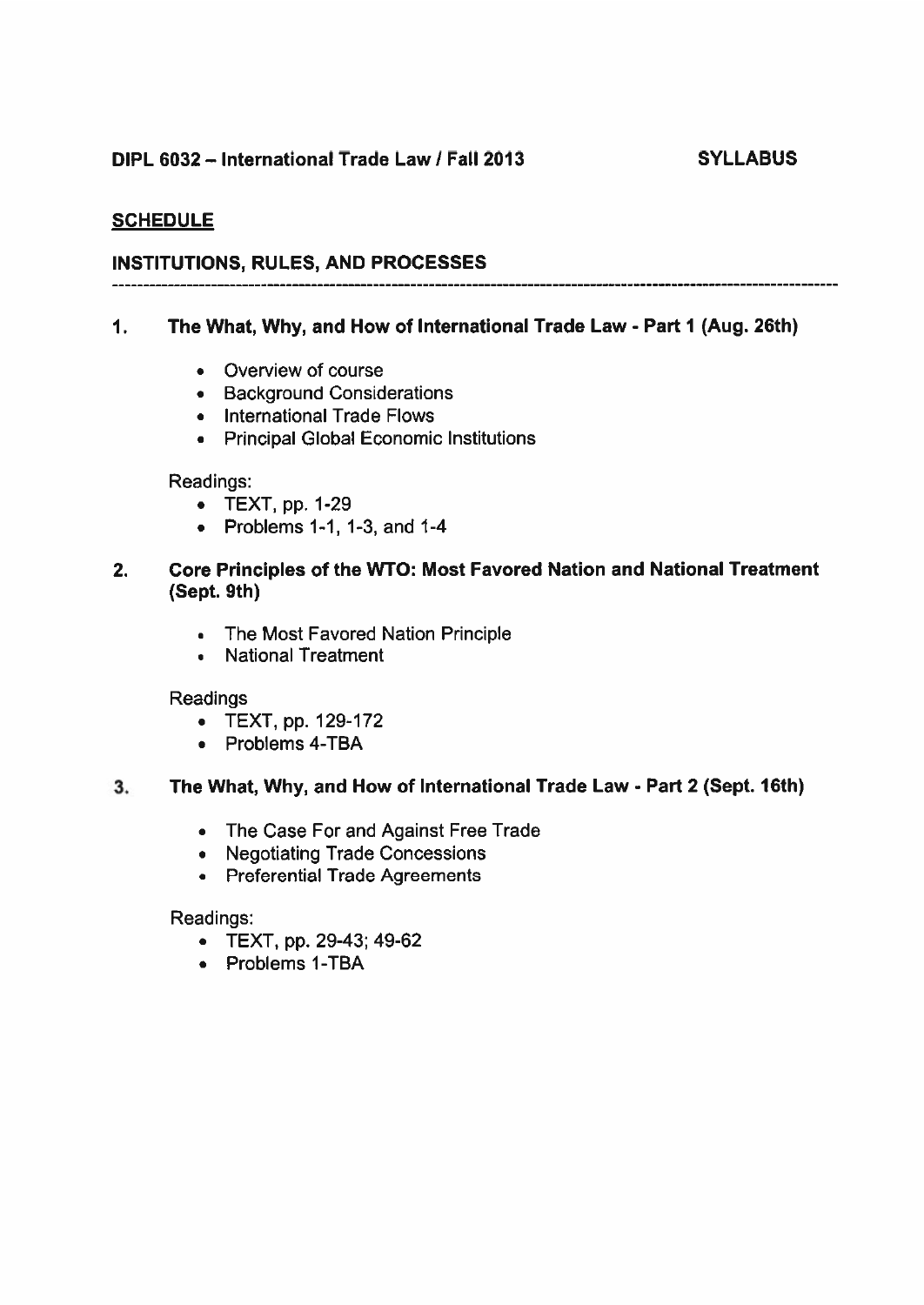# **DIPL 6032-International Trade Law / Fall 2013 SYLLABUS**

# **SCHEDULE**

# **INSTITUTIONS, RULES, AND PROCESSES**

### **1. The What, Why, and How of International Trade Law - Part 1 (Aug. 26th)**

- Overview of course
- Background Considerations
- International Trade Flows
- Principal Global Economic Institutions

#### Readings:

- TEXT, pp. 1-29
- Problems 1-1, 1-3, and  $1-4$

# **2. Core Principles of the WTO: Most Favored Nation and National Treatment (Sept. 9th)**

- The Most Favored Nation Principle
- . National Treatment

#### Readings

- TEXT, pp. 129-172
- Problems 4-TBA

#### **3. The What, Why, and How of International Trade Law - Part 2 (Sept. 16th)**

- The Case For and Against Free Trade
- Negotiating Trade Concessions
- Preferential Trade Agreements

Readings:

- TEXT, pp. 29-43; 49-62
- Problems 1-TBA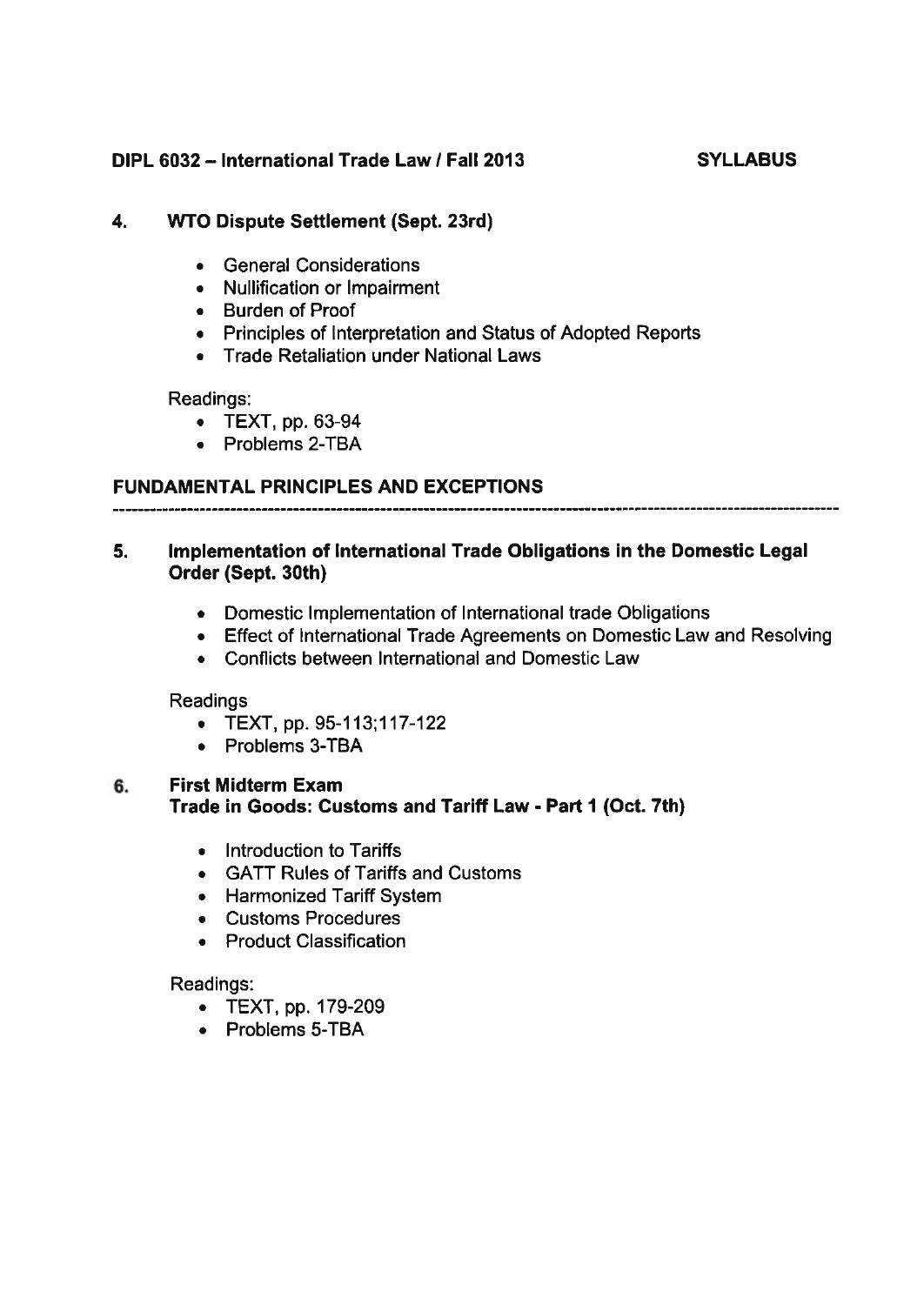# **DIPL 6032-International Trade Law / Fall 2013 SYLLABUS**

# **4. WTO Dispute Settlement (Sept. 23rd)**

- General Considerations
- Nullification or Impairment
- Burden of Proof
- Principles of Interpretation and Status of Adopted Reports
- Trade Retaliation under National Laws

#### Readings:

- TEXT, pp. 63-94
- Problems 2-TBA

# **FUNDAMENTAL PRINCIPLES AND EXCEPTIONS**

### **5. Implementation of International Trade Obligations in the Domestic Legal Order (Sept. 30th)**

- Domestic Implementation of International trade Obligations
- Effect of International Trade Agreements on Domestic Law and Resolving
- Conflicts between International and Domestic Law

Readings

- TEXT, pp. 95-113:117-122
- Problems 3-TBA

#### **6. First Midterm Exam Trade in Goods: Customs and Tariff Law - Part 1 (Oct. 7th)**

- Introduction to Tariffs
- GATT Rules of Tariffs and Customs
- Harmonized Tariff System
- Customs Procedures
- Product Classification

#### Readings:

- TEXT, pp. 179-209
- Problems 5-TBA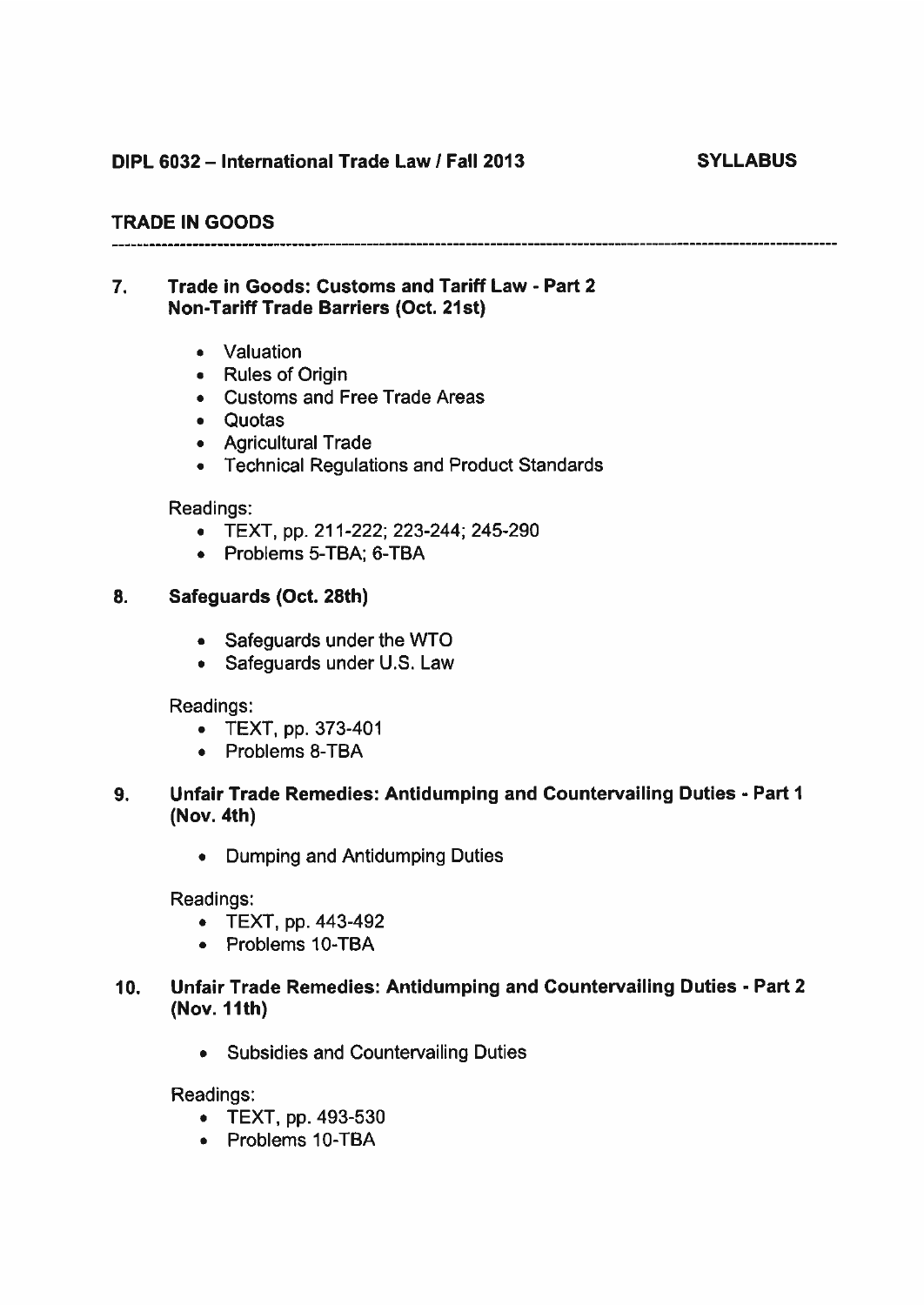# **DIPL 6032-International Trade Law / Fall 2013 SYLLABUS**

# **TRADE IN GOODS**

# **7. Trade in Goods: Customs and Tariff Law - Part 2 Non-Tariff Trade Barriers (Oct. 21st)**

• Valuation

- Rules of Origin
- Customs and Free Trade Areas
- Quotas
- Agricultural Trade
- Technical Regulations and Product Standards

# Readings:

- TEXT, pp. 211-222; 223-244; 245-290
- Problems 5-TBA; 6-TBA

# **8. Safeguards (Oct. 28th)**

- Safeguards under the WTO
- Safeguards under U.S. Law

Readings:

- TEXT, pp. 373-401
- Problems 8-TBA

# **9. Unfair Trade Remedies: Antidumping and Countervailing Duties - Part 1 (Nov. 4th)**

• Dumping and Antidumping Duties

Readings:

- TEXT, pp. 443-492
- Problems 10-TBA

# **10. Unfair Trade Remedies: Antidumping and Countervailing Duties - Part 2 (Nov. 11th)**

• Subsidies and Countervailing Duties

Readings:

- TEXT, pp. 493-530
- Problems 10-TBA